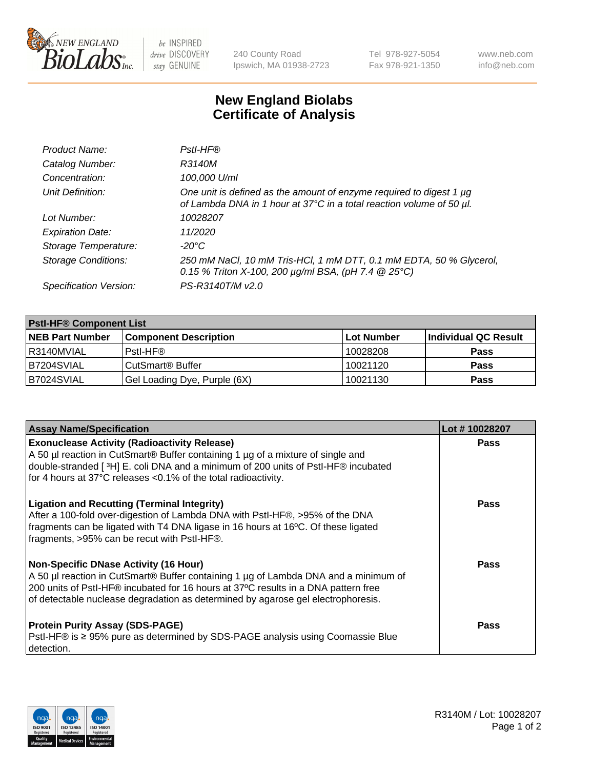

 $be$  INSPIRED drive DISCOVERY stay GENUINE

240 County Road Ipswich, MA 01938-2723 Tel 978-927-5054 Fax 978-921-1350 www.neb.com info@neb.com

## **New England Biolabs Certificate of Analysis**

| Product Name:              | Pstl-HF®                                                                                                                                             |
|----------------------------|------------------------------------------------------------------------------------------------------------------------------------------------------|
| Catalog Number:            | R3140M                                                                                                                                               |
| Concentration:             | 100,000 U/ml                                                                                                                                         |
| Unit Definition:           | One unit is defined as the amount of enzyme required to digest 1 µg<br>of Lambda DNA in 1 hour at 37°C in a total reaction volume of 50 µl.          |
| Lot Number:                | 10028207                                                                                                                                             |
| <b>Expiration Date:</b>    | 11/2020                                                                                                                                              |
| Storage Temperature:       | $-20^{\circ}$ C                                                                                                                                      |
| <b>Storage Conditions:</b> | 250 mM NaCl, 10 mM Tris-HCl, 1 mM DTT, 0.1 mM EDTA, 50 % Glycerol,<br>0.15 % Triton X-100, 200 $\mu$ g/ml BSA, (pH 7.4 $\textcircled{25}^{\circ}$ C) |
| Specification Version:     | PS-R3140T/M v2.0                                                                                                                                     |

| <b>PstI-HF® Component List</b> |                              |            |                      |  |
|--------------------------------|------------------------------|------------|----------------------|--|
| <b>NEB Part Number</b>         | <b>Component Description</b> | Lot Number | Individual QC Result |  |
| R3140MVIAL                     | Pstl-HF®                     | 10028208   | <b>Pass</b>          |  |
| <b>B7204SVIAL</b>              | CutSmart <sup>®</sup> Buffer | 10021120   | <b>Pass</b>          |  |
| B7024SVIAL                     | Gel Loading Dye, Purple (6X) | 10021130   | <b>Pass</b>          |  |

| <b>Assay Name/Specification</b>                                                                                                                                                                                                                                                                               | Lot #10028207 |
|---------------------------------------------------------------------------------------------------------------------------------------------------------------------------------------------------------------------------------------------------------------------------------------------------------------|---------------|
| <b>Exonuclease Activity (Radioactivity Release)</b><br>A 50 µl reaction in CutSmart® Buffer containing 1 µg of a mixture of single and                                                                                                                                                                        | <b>Pass</b>   |
| double-stranded [3H] E. coli DNA and a minimum of 200 units of PstI-HF® incubated<br>for 4 hours at 37°C releases <0.1% of the total radioactivity.                                                                                                                                                           |               |
| <b>Ligation and Recutting (Terminal Integrity)</b><br>After a 100-fold over-digestion of Lambda DNA with PstI-HF®, >95% of the DNA<br>fragments can be ligated with T4 DNA ligase in 16 hours at 16°C. Of these ligated<br>fragments, >95% can be recut with PstI-HF®.                                        | Pass          |
| <b>Non-Specific DNase Activity (16 Hour)</b><br>A 50 µl reaction in CutSmart® Buffer containing 1 µg of Lambda DNA and a minimum of<br>200 units of PstI-HF® incubated for 16 hours at 37°C results in a DNA pattern free<br>of detectable nuclease degradation as determined by agarose gel electrophoresis. | <b>Pass</b>   |
| <b>Protein Purity Assay (SDS-PAGE)</b><br>PstI-HF® is ≥ 95% pure as determined by SDS-PAGE analysis using Coomassie Blue<br>I detection.                                                                                                                                                                      | Pass          |